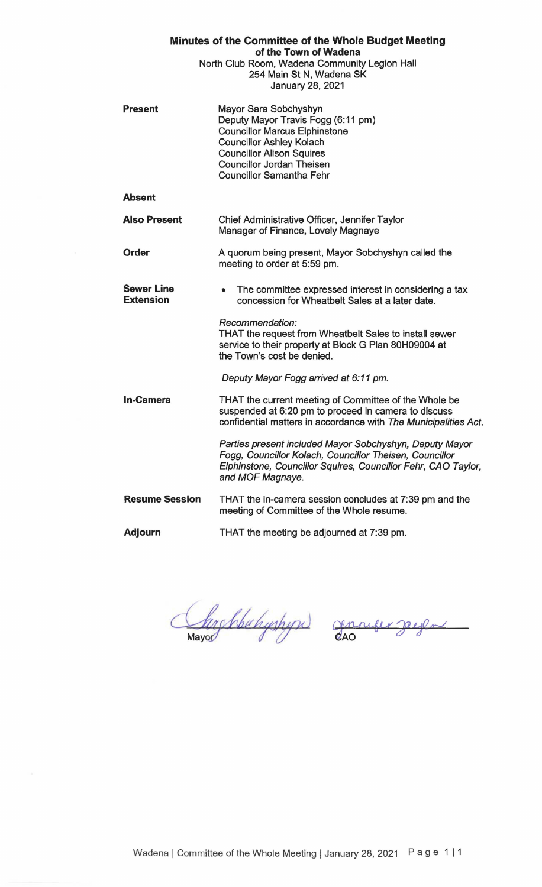| Minutes of the Committee of the Whole Budget Meeting<br>of the Town of Wadena<br>North Club Room, Wadena Community Legion Hall<br>254 Main St N, Wadena SK<br>January 28, 2021 |                                                                                                                                                                                                                                                   |
|--------------------------------------------------------------------------------------------------------------------------------------------------------------------------------|---------------------------------------------------------------------------------------------------------------------------------------------------------------------------------------------------------------------------------------------------|
| <b>Present</b>                                                                                                                                                                 | Mayor Sara Sobchyshyn<br>Deputy Mayor Travis Fogg (6:11 pm)<br><b>Councillor Marcus Elphinstone</b><br><b>Councillor Ashley Kolach</b><br><b>Councillor Alison Squires</b><br><b>Councillor Jordan Theisen</b><br><b>Councillor Samantha Fehr</b> |
| <b>Absent</b>                                                                                                                                                                  |                                                                                                                                                                                                                                                   |
| <b>Also Present</b>                                                                                                                                                            | Chief Administrative Officer, Jennifer Taylor<br>Manager of Finance, Lovely Magnaye                                                                                                                                                               |
| <b>Order</b>                                                                                                                                                                   | A quorum being present, Mayor Sobchyshyn called the<br>meeting to order at 5:59 pm.                                                                                                                                                               |
| <b>Sewer Line</b><br><b>Extension</b>                                                                                                                                          | The committee expressed interest in considering a tax<br>$\bullet$<br>concession for Wheatbelt Sales at a later date.                                                                                                                             |
|                                                                                                                                                                                | Recommendation:<br>THAT the request from Wheatbelt Sales to install sewer<br>service to their property at Block G Plan 80H09004 at<br>the Town's cost be denied.                                                                                  |
|                                                                                                                                                                                | Deputy Mayor Fogg arrived at 6:11 pm.                                                                                                                                                                                                             |
| <b>In-Camera</b>                                                                                                                                                               | THAT the current meeting of Committee of the Whole be<br>suspended at 6:20 pm to proceed in camera to discuss<br>confidential matters in accordance with The Municipalities Act.                                                                  |
|                                                                                                                                                                                | Parties present included Mayor Sobchyshyn, Deputy Mayor<br>Fogg, Councillor Kolach, Councillor Theisen, Councillor<br>Elphinstone, Councillor Squires, Councillor Fehr, CAO Taylor,<br>and MOF Magnaye.                                           |
| <b>Resume Session</b>                                                                                                                                                          | THAT the in-camera session concludes at 7:39 pm and the<br>meeting of Committee of the Whole resume.                                                                                                                                              |
| <b>Adjourn</b>                                                                                                                                                                 | THAT the meeting be adjourned at 7:39 pm.                                                                                                                                                                                                         |

Christolahystype) grander gegen

 $\overline{\phantom{a}}$